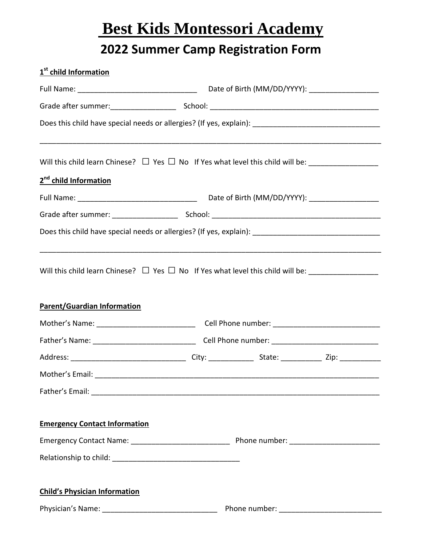# **Best Kids Montessori Academy**

# **2022 Summer Camp Registration Form**

| 1 <sup>st</sup> child Information    |  |  |  |  |  |
|--------------------------------------|--|--|--|--|--|
|                                      |  |  |  |  |  |
|                                      |  |  |  |  |  |
|                                      |  |  |  |  |  |
|                                      |  |  |  |  |  |
| 2 <sup>nd</sup> child Information    |  |  |  |  |  |
|                                      |  |  |  |  |  |
|                                      |  |  |  |  |  |
|                                      |  |  |  |  |  |
| <b>Parent/Guardian Information</b>   |  |  |  |  |  |
|                                      |  |  |  |  |  |
|                                      |  |  |  |  |  |
|                                      |  |  |  |  |  |
|                                      |  |  |  |  |  |
|                                      |  |  |  |  |  |
| <b>Emergency Contact Information</b> |  |  |  |  |  |
|                                      |  |  |  |  |  |
|                                      |  |  |  |  |  |
| <b>Child's Physician Information</b> |  |  |  |  |  |
|                                      |  |  |  |  |  |